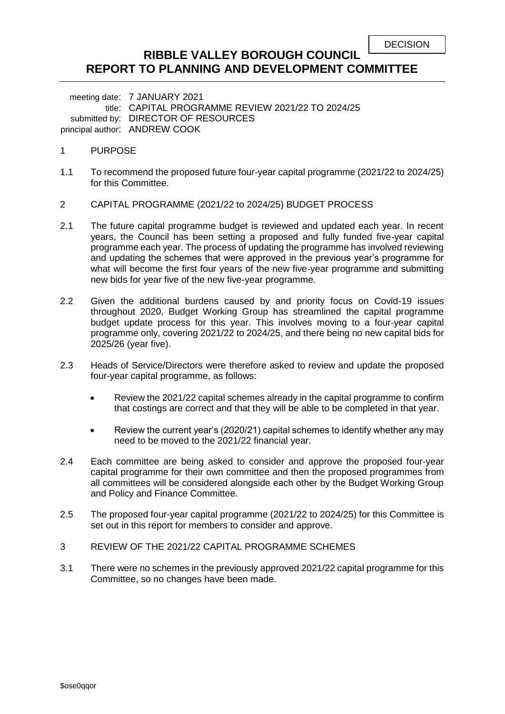| <b>DECISION</b> |
|-----------------|
|-----------------|

## **RIBBLE VALLEY BOROUGH COUNCIL REPORT TO PLANNING AND DEVELOPMENT COMMITTEE**

meeting date: 7 JANUARY 2021 title: CAPITAL PROGRAMME REVIEW 2021/22 TO 2024/25 submitted by: DIRECTOR OF RESOURCES principal author: ANDREW COOK

- 1 PURPOSE
- 1.1 To recommend the proposed future four-year capital programme (2021/22 to 2024/25) for this Committee.
- 2 CAPITAL PROGRAMME (2021/22 to 2024/25) BUDGET PROCESS
- 2.1 The future capital programme budget is reviewed and updated each year. In recent years, the Council has been setting a proposed and fully funded five-year capital programme each year. The process of updating the programme has involved reviewing and updating the schemes that were approved in the previous year's programme for what will become the first four years of the new five-year programme and submitting new bids for year five of the new five-year programme.
- 2.2 Given the additional burdens caused by and priority focus on Covid-19 issues throughout 2020, Budget Working Group has streamlined the capital programme budget update process for this year. This involves moving to a four-year capital programme only, covering 2021/22 to 2024/25, and there being no new capital bids for 2025/26 (year five).
- 2.3 Heads of Service/Directors were therefore asked to review and update the proposed four-year capital programme, as follows:
	- Review the 2021/22 capital schemes already in the capital programme to confirm that costings are correct and that they will be able to be completed in that year.
	- Review the current year's (2020/21) capital schemes to identify whether any may need to be moved to the 2021/22 financial year.
- 2.4 Each committee are being asked to consider and approve the proposed four-year capital programme for their own committee and then the proposed programmes from all committees will be considered alongside each other by the Budget Working Group and Policy and Finance Committee.
- 2.5 The proposed four-year capital programme (2021/22 to 2024/25) for this Committee is set out in this report for members to consider and approve.
- 3 REVIEW OF THE 2021/22 CAPITAL PROGRAMME SCHEMES
- 3.1 There were no schemes in the previously approved 2021/22 capital programme for this Committee, so no changes have been made.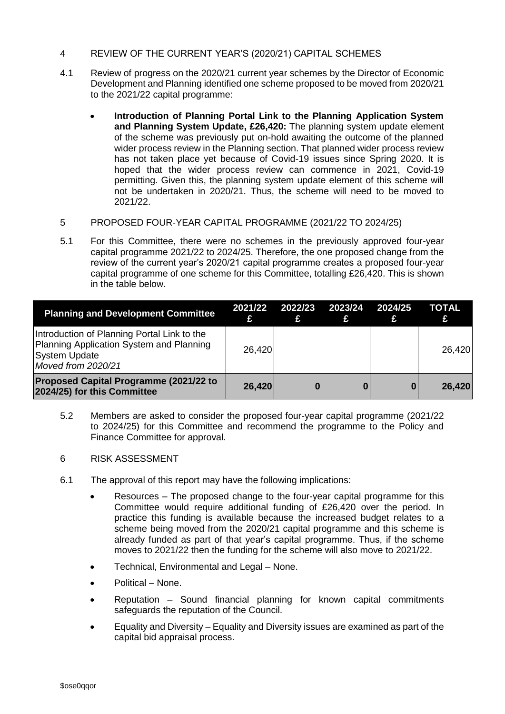- 4 REVIEW OF THE CURRENT YEAR'S (2020/21) CAPITAL SCHEMES
- 4.1 Review of progress on the 2020/21 current year schemes by the Director of Economic Development and Planning identified one scheme proposed to be moved from 2020/21 to the 2021/22 capital programme:
	- **Introduction of Planning Portal Link to the Planning Application System and Planning System Update, £26,420:** The planning system update element of the scheme was previously put on-hold awaiting the outcome of the planned wider process review in the Planning section. That planned wider process review has not taken place yet because of Covid-19 issues since Spring 2020. It is hoped that the wider process review can commence in 2021, Covid-19 permitting. Given this, the planning system update element of this scheme will not be undertaken in 2020/21. Thus, the scheme will need to be moved to 2021/22.
- 5 PROPOSED FOUR-YEAR CAPITAL PROGRAMME (2021/22 TO 2024/25)
- 5.1 For this Committee, there were no schemes in the previously approved four-year capital programme 2021/22 to 2024/25. Therefore, the one proposed change from the review of the current year's 2020/21 capital programme creates a proposed four-year capital programme of one scheme for this Committee, totalling £26,420. This is shown in the table below.

| <b>Planning and Development Committee</b>                                                                                             |        | 2021/22 2022/23 2023/24 2024/25<br>£ | £ | £ | TOTAL<br>£ |
|---------------------------------------------------------------------------------------------------------------------------------------|--------|--------------------------------------|---|---|------------|
| Introduction of Planning Portal Link to the<br>Planning Application System and Planning<br><b>System Update</b><br>Moved from 2020/21 | 26,420 |                                      |   |   | 26,420     |
| <b>Proposed Capital Programme (2021/22 to</b><br>2024/25) for this Committee                                                          | 26,420 | 0                                    | 0 |   | 26,420     |

- 5.2 Members are asked to consider the proposed four-year capital programme (2021/22 to 2024/25) for this Committee and recommend the programme to the Policy and Finance Committee for approval.
- 6 RISK ASSESSMENT
- 6.1 The approval of this report may have the following implications:
	- Resources The proposed change to the four-year capital programme for this Committee would require additional funding of £26,420 over the period. In practice this funding is available because the increased budget relates to a scheme being moved from the 2020/21 capital programme and this scheme is already funded as part of that year's capital programme. Thus, if the scheme moves to 2021/22 then the funding for the scheme will also move to 2021/22.
	- Technical, Environmental and Legal None.
	- Political None.
	- Reputation Sound financial planning for known capital commitments safeguards the reputation of the Council.
	- Equality and Diversity Equality and Diversity issues are examined as part of the capital bid appraisal process.